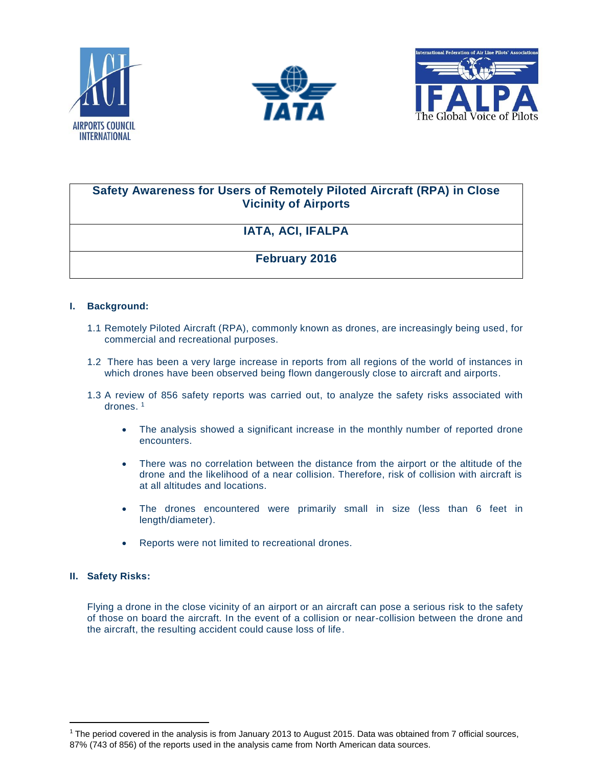





### **Safety Awareness for Users of Remotely Piloted Aircraft (RPA) in Close Vicinity of Airports**

# **IATA, ACI, IFALPA**

## **February 2016**

#### **I. Background:**

- 1.1 Remotely Piloted Aircraft (RPA), commonly known as drones, are increasingly being used, for commercial and recreational purposes.
- 1.2 There has been a very large increase in reports from all regions of the world of instances in which drones have been observed being flown dangerously close to aircraft and airports.
- 1.3 A review of 856 safety reports was carried out, to analyze the safety risks associated with drones. 1
	- The analysis showed a significant increase in the monthly number of reported drone encounters.
	- There was no correlation between the distance from the airport or the altitude of the drone and the likelihood of a near collision. Therefore, risk of collision with aircraft is at all altitudes and locations.
	- The drones encountered were primarily small in size (less than 6 feet in length/diameter).
	- Reports were not limited to recreational drones.

#### **II. Safety Risks:**

 $\overline{a}$ 

Flying a drone in the close vicinity of an airport or an aircraft can pose a serious risk to the safety of those on board the aircraft. In the event of a collision or near-collision between the drone and the aircraft, the resulting accident could cause loss of life.

<sup>&</sup>lt;sup>1</sup> The period covered in the analysis is from January 2013 to August 2015. Data was obtained from 7 official sources, 87% (743 of 856) of the reports used in the analysis came from North American data sources.